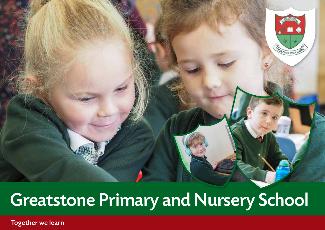Greatstone Primary and Nursery School

OGETHER WE LEA

Together we learn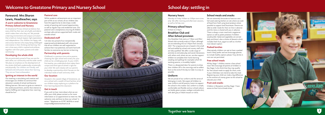# Foreword: Mrs Sharon Lewis, Headteacher, says :

### A warm welcome to Greatstone Primary School and Nursery

At Greatstone Primary School we believe that every child has their own set of gifts and talents which makes them who they are. We provide a learning environment and unique curriculum that is built on mutual respect, high expectations and independence. Our children are happy, safe and curious learners who enjoy being challenged and creative in their thinking and learning. Our aim is that every child is inspired and achieves together with their peers, parents and wider community.

# Developing the whole child

We are particularly proud of how we care for each other, our community and the wider world. We place an emphasis on the development of the whole child both academically, emotionally and physically. Our children are friendly, well behaved and enthusiastic about their learning. They are our finest ambassadors.

### Igniting an interest in the world

Our teaching is stimulating and creative and encourages our children to continue their education outside of school and become lifelong learners. We want to ignite an interest in the world around them, and for that interest to lead to fulfilling and imaginative lives. Learning should be fun!

# Pastoral care

Whilst academic achievements are an important part of life at our school, all our children also have the opportunity to also enjoy a wide variety of sporting and musical opportunities, as well as regular trips and residential visits. Our pastoral care is exceptional, ensuring all children are kept safe and are supported both inside and outside school.

### Dedicated staff

I am also very proud of our exceptionally experienced and dedicated staff, who ensure that all our children are well supported to achieve their true potential, and work hard with families to overcome any barriers to learning.

> We are proud of our uniform and the sense of belonging it instils. We expect all children to wear uniform and all parents/carers to support the school in this matter. Our uniform is simple, comfortable and flexible and our school colours are bottle green jumper, cardigan and polo shirt, with dark grey or black trousers or skirts.

### Partnership with parents

Childhood is a precious time and as parents, choosing the right school and nursery for your child can be a challenging task. As your child's first teacher, you understand what makes them unique and what type of school is right for your child. We work closely with our parents to develop a partnership which focuses on the individual needs of each and every child.

### Our location

Situated in the coastal village of Greatstone, we are a school with a wealth of local facilities which our children enjoy exploring as a platform for their learning beyond the classroom.

# Get in touch

If you wish to hear more about what we can offer your child, please contact us for more information or an appointment to meet me. We welcome visits and love to show our school 'in action'. Telephone on 01797 363916 or email enquiries@greatstoneschool.co.uk



# Nursery hours

# Welcome to Greatstone Primary and Nursery School School School day: settling in

Monday to Friday 9.00am to 3.00pm term time only. We offer morning and afternoon sessions, as well as full day care.

# Primary school hours 8.45am to 3.15pm. Breakfast Club and After-School provision

Our Breakfast Club starts at 7.30am and After-School club currently ends at 5.15pm, although we are extending this to 5.45pm from January 2021. The wraparound care is based in the small hall and staffed by school and nursery staff who are fully qualified. We offer a wide range of activities to stimulate play and social interactions with others and, where we can, we also support children to complete their home learning (reading and spellings for example) which for working parents, is incredibly helpful. There is a designated door for parents to drop their children off in the mornings and to collect from at the end of the day to make it as easy as possible.

# Uniform

# School meals and snacks

We are extremely fortunate to have our own full-sized catering kitchen on site where we cook all food from fresh using local produce where possible to support local businesses. Parents are able to order meals for their on-line in advance and the menu is shared with you in advance. There is always a main meal and a vegetarian option as well as jacket potatoes if children would prefer. Salad and vegetables are served daily and there's also a choice of desserts which includes fresh fruit, yogurt as well as a further main dessert option.

# Packed lunches

Alternatively, children can opt to have a packed lunch if they prefer and we encourage parents to include healthy options please. Fizzy drinks in cans are not permitted.

# Free school meals

All Key Stage 1 children receive a free school meal. We encourage all parents of children in Key Stage 2 who think that they may qualify for free school meals to apply for them, even if your child does not intend to take the meal. Registering your child can make a big difference to the amount of money given to the school to educate your child.

# Fruit and snacks

Children in Reception and Key Stage 1 have access to free fruit at break-times.

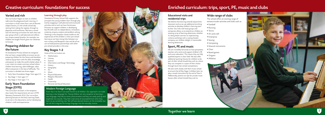# Varied and rich

Our curriculum begins as soon as children walk onto the playground each morning. A curriculum is much more than a set of discrete subject lessons, it's the whole school day starting from taking the register, through to playtimes and lunchtimes. We have a varied and rich learning curriculum for each class and year group which is well-planned and reflects our unique coastal location; for example, our children are taught French given our closeness to Europe.

# Preparing children for the future

At Greatstone Primary School we recognise that we have a responsibility to ensure we are preparing children for the future and therefore need to equip them with the skills, knowledge and passion to make the world a better place. It is our intent to create a primary school where children love learning, seek challenges, value effort and persist in the face of difficulty. The curriculum is divided into three stages:

- 1. Early Years Foundation Stage: from ages 0-5.
- 2. Key Stage 1: from ages 5-7.
- 3. Key Stage 2: from ages 7-11.

# Early Years Foundation Stage (EYFS)

- Mathematics
- Literacy
- Science
- Information and Design Technology
- • History
- Geography
- **Art**
- Music
- **Physical Education**
- • Religious Education
- • Health
- • Citizenship
- • Personal and Social Education.

The curriculum we teach in the reception class meets the requirements set out in EYFS Statutory Framework 2014. Our curriculum planning focuses on the Early Learning Goals, as set out in this document, and on developing children's skills and experiences.

# Learning through play

Greatstone Primary School fully supports the principle that young children learn through play, and by engaging in well planned and structured activities and as such we have Continuous Provision to support children in developing key life skills such as independence, innovation, creativity, enquiry, analysis and problem solving. Teaching in the reception classes builds on the experiences of the children in their pre-school learning as we have strong links between our own nursery and Reception class and do all we can to build positive partnerships with other pre-school providers in the area.

# Key Stages 1-2

Areas of the curriculum are:

# Educational visits and residential trips

We believe that learning extends beyond the classroom and so we use additional enriching activities to develop children's learning even further. Our links with local groups and companies allows us to extend our children an amazing array of learning adventures, whether it's being beach warriors or experiencing a drama workshop with a visiting theatre company, our children delight in memorable learning adventures.

# Creative curriculum: foundations for success **Enriched curriculum: trips, sport, PE**, music and clubs

# Sport, PE and music

We are incredibly fortunate to have peripatetic teachers who come and support children's PE and music education. This means they are fully qualified experts in their field. We also offer additional sporting fixtures for children to be part of after school should they wish to, where they can compete in a sport of their choice through local inter-school competitions.

We also work closely with Kent music school to ensure that all Key Stage 2 children learn to play a tuned instrument by the end of Year 6. Additionally, parents can opt for private music lessons after school should they wish to.

# Wide range of clubs

The school offers an exciting range of extracurricular activities and clubs such as:

- Football
- Running
- Tennis
- Art and craft
- Enterprise
- Sewing
- Computing
- Musical instruments
- Choir
- Board games
- Origami
- Athletics

# Modern Foreign Language

From Year 3 to Year 6 we teach French to all children. Our approach is to make learning a new language fun. Young children are very receptive to learning a new language; they like to mimic pronunciation and they can easily pick up and duplicate new sounds. They feel a real sense of accomplishment when they learn to say something new. We will have discreet lessons on the timetable, but we will also integrate the foreign language into the everyday routine.



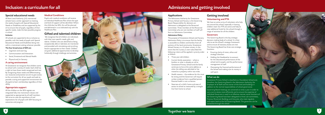# Special educational needs

All Kent Local Authority (LA) maintained schools have a similar approach to meeting the needs of pupils with Special Educational Needs or Disabilities and are supported by the LA to ensure that all pupils, regardless of their specific needs, make the best possible progress in school.

### Inclusive

- Cognition and Learning.
- • Communication and Interaction.
- Social, Emotional and Mental Health.
- • Physical and/or Sensory.

All schools are supported to be as inclusive as possible, with the needs of pupils with Special Educational Needs and Disabilities being met within a mainstream setting wherever possible.

### The four broad areas of SEN are:

### A caring environment

At Greatstone we recognise that children come to school with a variety of needs. Each child has a right to have those needs recognised and met. By recognising those needs and differentiating our resources and practice we aim to give access to the curriculum for all our pupils and seek to provide a caring and supportive environment for all pupils to learn and develop regardless of their ability.

### Appropriate support

All the children on the SEN register are integrated fully into mainstream classes and supported as appropriate by all staff members. We strive to raise the aspirations of and expectations for all pupils with SEN focusing on outcomes and progress.

### Medical Conditions

Pupils with medical conditions will receive an Individual Healthcare Plan where the type and level of support will be identified. Where the child also has SEN, this will be planned and delivered in a co-ordinated way with the Healthcare Plan.

- 
- 
- Current family association where a brother or sister is already on roll at Greatstone Primary School and the family continues to live at the same address as when the sibling was admitted or has moved to a property within two miles. Health reasons – the evidence for this must be strong and the Governors will require written evidence from a qualified person.
- 
- 

# Inclusion: a curriculum for all and the state of the state of the state of the Admissions and getting involved

# Gifted and talented children

 We recognise that all children are individuals with their own specific needs, gifts and talents. Children who are identified as being exceptionally able or talented, are monitored and provided with stimulating and enriching lessons appropriate to their needs. Children are given additional opportunities to develop holistically through challenge and activities.



- Ensuring clarity of vision, ethos and strategic direction.
- Holding the Headteacher to account for the educational performance of the school and its pupils, and the performance management of staff.
- Overseeing the financial performance of the School and making sure its money is well spent.

# Applications

The Admissions Authority for Greatstone Primary School and Nursery is the Governing Board. Responsibility for decisions on Admissions is delegated to the Personnel Committee. Three members of the Personnel Committee who are not members of staff will form an Admissions Committee.

### Admissions Policy

The purpose of Greatstone School and Nursery Admissions Policy is to ensure that the facility is accessible to children and families from all sections of the local community. Greatstone School Nursery is a 52-place nursery. In the event that the nursery is over-subscribed the following criteria will be applied in priority order as follows:

• Three-year old children.

- Parental health is not a criterion. Nearness of a child's home and ease of
- access to school as measured by a straight line from home to school.

# Getting involved Volunteering and PTA

We have an active army of volunteers who help out around the school, especially in hearing children read. Our PTA are active and help to raise additional funds for the school through a range of activities for all the children.

### **Governors**

The Governing Board is the key strategic decision-making body of a school. It is their role to set the school's strategic framework and to ensure all statutory duties are met. The Governing Board has three core strategic functions:

### What we do

Greatstone Primary School is classified as a Foundation School and, therefore, the Governing Board is the Admissions Authority, the Employer of all Staff and the owner of the land and buildings in addition to the normal responsibilities of school governance.

Governing Board meetings are convened six times a year. In order to carry out its duties more efficiently and to ensure the expertise of individual Governors is used in an effective manner, some functions of the Governing Board have been delegated to three sub-committees, Finance, Personnel, Buildings and Grounds, who meet regularly and report back to the full Governing Board. The governors can be contacted through the school.